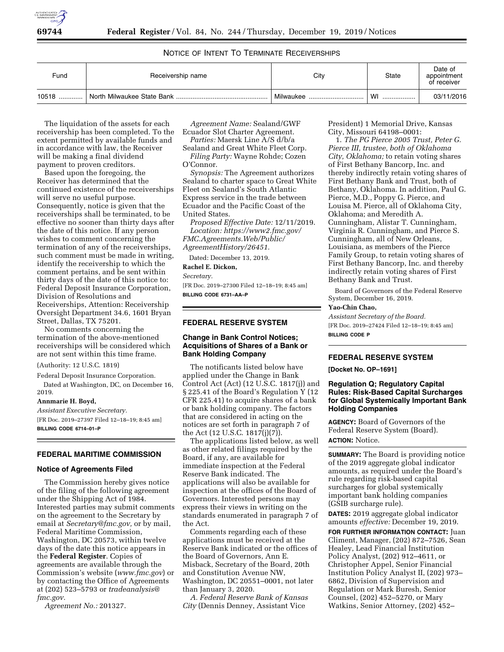

## NOTICE OF INTENT TO TERMINATE RECEIVERSHIPS

| Fund  | Receivership name | City      | State  | Date of<br>appointment<br>of receiver |
|-------|-------------------|-----------|--------|---------------------------------------|
| 10518 |                   | Milwaukee | WI<br> | 03/11/2016                            |

The liquidation of the assets for each receivership has been completed. To the extent permitted by available funds and in accordance with law, the Receiver will be making a final dividend payment to proven creditors.

Based upon the foregoing, the Receiver has determined that the continued existence of the receiverships will serve no useful purpose. Consequently, notice is given that the receiverships shall be terminated, to be effective no sooner than thirty days after the date of this notice. If any person wishes to comment concerning the termination of any of the receiverships, such comment must be made in writing, identify the receivership to which the comment pertains, and be sent within thirty days of the date of this notice to: Federal Deposit Insurance Corporation, Division of Resolutions and Receiverships, Attention: Receivership Oversight Department 34.6, 1601 Bryan Street, Dallas, TX 75201.

No comments concerning the termination of the above-mentioned receiverships will be considered which are not sent within this time frame.

#### (Authority: 12 U.S.C. 1819)

Federal Deposit Insurance Corporation. Dated at Washington, DC, on December 16,

2019.

## **Annmarie H. Boyd,**

*Assistant Executive Secretary.*  [FR Doc. 2019–27397 Filed 12–18–19; 8:45 am] **BILLING CODE 6714–01–P** 

### **FEDERAL MARITIME COMMISSION**

#### **Notice of Agreements Filed**

The Commission hereby gives notice of the filing of the following agreement under the Shipping Act of 1984. Interested parties may submit comments on the agreement to the Secretary by email at *[Secretary@fmc.gov,](mailto:Secretary@fmc.gov)* or by mail, Federal Maritime Commission, Washington, DC 20573, within twelve days of the date this notice appears in the **Federal Register**. Copies of agreements are available through the Commission's website (*[www.fmc.gov](http://www.fmc.gov)*) or by contacting the Office of Agreements at (202) 523–5793 or *[tradeanalysis@](mailto:tradeanalysis@fmc.gov) [fmc.gov.](mailto:tradeanalysis@fmc.gov)* 

*Agreement No.:* 201327.

*Agreement Name:* Sealand/GWF Ecuador Slot Charter Agreement.

*Parties:* Maersk Line A/S d/b/a Sealand and Great White Fleet Corp. *Filing Party:* Wayne Rohde; Cozen

O'Connor.

*Synopsis:* The Agreement authorizes Sealand to charter space to Great White Fleet on Sealand's South Atlantic Express service in the trade between Ecuador and the Pacific Coast of the United States.

*Proposed Effective Date:* 12/11/2019. *Location: [https://www2.fmc.gov/](https://www2.fmc.gov/FMC.Agreements.Web/Public/AgreementHistory/26451) [FMC.Agreements.Web/Public/](https://www2.fmc.gov/FMC.Agreements.Web/Public/AgreementHistory/26451) [AgreementHistory/26451.](https://www2.fmc.gov/FMC.Agreements.Web/Public/AgreementHistory/26451)* 

Dated: December 13, 2019.

**Rachel E. Dickon,** 

*Secretary.* 

[FR Doc. 2019–27300 Filed 12–18–19; 8:45 am] **BILLING CODE 6731–AA–P** 

### **FEDERAL RESERVE SYSTEM**

### **Change in Bank Control Notices; Acquisitions of Shares of a Bank or Bank Holding Company**

The notificants listed below have applied under the Change in Bank Control Act (Act) (12 U.S.C. 1817(j)) and § 225.41 of the Board's Regulation Y (12 CFR 225.41) to acquire shares of a bank or bank holding company. The factors that are considered in acting on the notices are set forth in paragraph 7 of the Act (12 U.S.C. 1817(j)(7)).

The applications listed below, as well as other related filings required by the Board, if any, are available for immediate inspection at the Federal Reserve Bank indicated. The applications will also be available for inspection at the offices of the Board of Governors. Interested persons may express their views in writing on the standards enumerated in paragraph 7 of the Act.

Comments regarding each of these applications must be received at the Reserve Bank indicated or the offices of the Board of Governors, Ann E. Misback, Secretary of the Board, 20th and Constitution Avenue NW, Washington, DC 20551–0001, not later than January 3, 2020.

*A. Federal Reserve Bank of Kansas City* (Dennis Denney, Assistant Vice

President) 1 Memorial Drive, Kansas City, Missouri 64198–0001:

1. *The PG Pierce 2005 Trust, Peter G. Pierce III, trustee, both of Oklahoma City, Oklahoma;* to retain voting shares of First Bethany Bancorp, Inc. and thereby indirectly retain voting shares of First Bethany Bank and Trust, both of Bethany, Oklahoma. In addition, Paul G. Pierce, M.D., Poppy G. Pierce, and Louisa M. Pierce, all of Oklahoma City, Oklahoma; and Meredith A. Cunningham, Alistar T. Cunningham, Virginia R. Cunningham, and Pierce S. Cunningham, all of New Orleans, Louisiana, as members of the Pierce Family Group, to retain voting shares of First Bethany Bancorp, Inc. and thereby indirectly retain voting shares of First Bethany Bank and Trust.

Board of Governors of the Federal Reserve System, December 16, 2019.

# **Yao-Chin Chao,**

*Assistant Secretary of the Board.*  [FR Doc. 2019–27424 Filed 12–18–19; 8:45 am]

**BILLING CODE P** 

## **FEDERAL RESERVE SYSTEM**

**[Docket No. OP–1691]** 

### **Regulation Q; Regulatory Capital Rules: Risk-Based Capital Surcharges for Global Systemically Important Bank Holding Companies**

**AGENCY:** Board of Governors of the Federal Reserve System (Board). **ACTION:** Notice.

**SUMMARY:** The Board is providing notice of the 2019 aggregate global indicator amounts, as required under the Board's rule regarding risk-based capital surcharges for global systemically important bank holding companies (GSIB surcharge rule).

**DATES:** 2019 aggregate global indicator amounts *effective:* December 19, 2019.

**FOR FURTHER INFORMATION CONTACT:** Juan Climent, Manager, (202) 872–7526, Sean Healey, Lead Financial Institution Policy Analyst, (202) 912–4611, or Christopher Appel, Senior Financial Institution Policy Analyst II, (202) 973– 6862, Division of Supervision and Regulation or Mark Buresh, Senior Counsel, (202) 452–5270, or Mary Watkins, Senior Attorney, (202) 452–